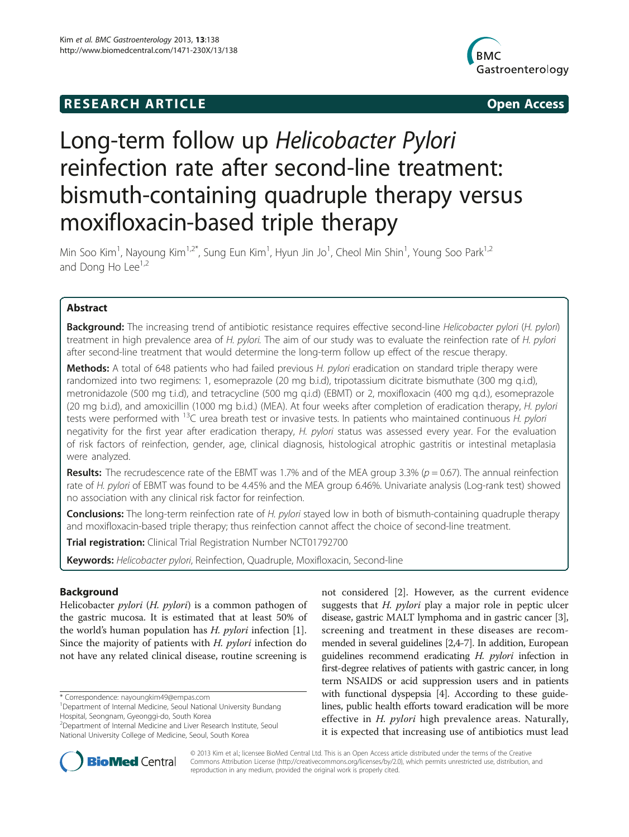# **RESEARCH ARTICLE Example 2014 12:30 The SEAR CHA RESEARCH ARTICLE**



# Long-term follow up Helicobacter Pylori reinfection rate after second-line treatment: bismuth-containing quadruple therapy versus moxifloxacin-based triple therapy

Min Soo Kim<sup>1</sup>, Nayoung Kim<sup>1,2\*</sup>, Sung Eun Kim<sup>1</sup>, Hyun Jin Jo<sup>1</sup>, Cheol Min Shin<sup>1</sup>, Young Soo Park<sup>1,2</sup> and Dong Ho Lee<sup>1,2</sup>

# Abstract

Background: The increasing trend of antibiotic resistance requires effective second-line Helicobacter pylori (H. pylori) treatment in high prevalence area of H. pylori. The aim of our study was to evaluate the reinfection rate of H. pylori after second-line treatment that would determine the long-term follow up effect of the rescue therapy.

Methods: A total of 648 patients who had failed previous H. pylori eradication on standard triple therapy were randomized into two regimens: 1, esomeprazole (20 mg b.i.d), tripotassium dicitrate bismuthate (300 mg q.i.d), metronidazole (500 mg t.i.d), and tetracycline (500 mg q.i.d) (EBMT) or 2, moxifloxacin (400 mg q.d.), esomeprazole (20 mg b.i.d), and amoxicillin (1000 mg b.i.d.) (MEA). At four weeks after completion of eradication therapy, H. pylori tests were performed with <sup>13</sup>C urea breath test or invasive tests. In patients who maintained continuous H. *pylori* negativity for the first year after eradication therapy, H. pylori status was assessed every year. For the evaluation of risk factors of reinfection, gender, age, clinical diagnosis, histological atrophic gastritis or intestinal metaplasia were analyzed.

**Results:** The recrudescence rate of the EBMT was 1.7% and of the MEA group 3.3% ( $p = 0.67$ ). The annual reinfection rate of H. pylori of EBMT was found to be 4.45% and the MEA group 6.46%. Univariate analysis (Log-rank test) showed no association with any clinical risk factor for reinfection.

Conclusions: The long-term reinfection rate of H. pylori stayed low in both of bismuth-containing quadruple therapy and moxifloxacin-based triple therapy; thus reinfection cannot affect the choice of second-line treatment.

**Trial registration:** Clinical Trial Registration Number [NCT01792700](http://clinicaltrials.gov/NCT01792700)

Keywords: Helicobacter pylori, Reinfection, Quadruple, Moxifloxacin, Second-line

# Background

Helicobacter *pylori* (H. *pylori*) is a common pathogen of the gastric mucosa. It is estimated that at least 50% of the world's human population has  $H$ . *pylori* infection [\[1](#page-7-0)]. Since the majority of patients with H. *pylori* infection do not have any related clinical disease, routine screening is

\* Correspondence: [nayoungkim49@empas.com](mailto:nayoungkim49@empas.com) <sup>1</sup>

not considered [[2](#page-7-0)]. However, as the current evidence suggests that  $H$ . *pylori* play a major role in peptic ulcer disease, gastric MALT lymphoma and in gastric cancer [[3](#page-7-0)], screening and treatment in these diseases are recommended in several guidelines [[2,4](#page-7-0)-[7](#page-7-0)]. In addition, European guidelines recommend eradicating H. pylori infection in first-degree relatives of patients with gastric cancer, in long term NSAIDS or acid suppression users and in patients with functional dyspepsia [\[4\]](#page-7-0). According to these guidelines, public health efforts toward eradication will be more effective in *H. pylori* high prevalence areas. Naturally, it is expected that increasing use of antibiotics must lead



© 2013 Kim et al.; licensee BioMed Central Ltd. This is an Open Access article distributed under the terms of the Creative Commons Attribution License [\(http://creativecommons.org/licenses/by/2.0\)](http://creativecommons.org/licenses/by/2.0), which permits unrestricted use, distribution, and reproduction in any medium, provided the original work is properly cited.

Department of Internal Medicine, Seoul National University Bundang Hospital, Seongnam, Gyeonggi-do, South Korea

<sup>2</sup> Department of Internal Medicine and Liver Research Institute, Seoul National University College of Medicine, Seoul, South Korea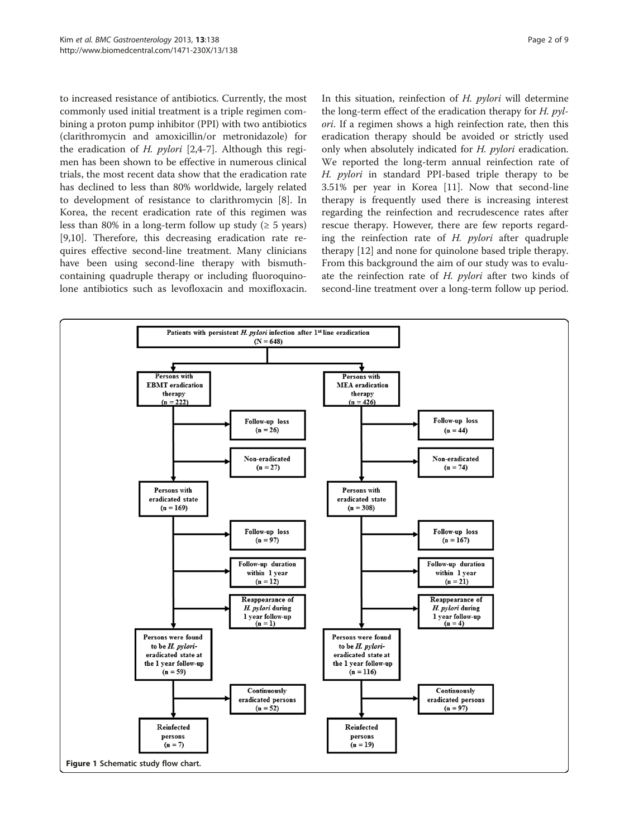<span id="page-1-0"></span>to increased resistance of antibiotics. Currently, the most commonly used initial treatment is a triple regimen combining a proton pump inhibitor (PPI) with two antibiotics (clarithromycin and amoxicillin/or metronidazole) for the eradication of H.  $pylori$  [[2,4-7](#page-7-0)]. Although this regimen has been shown to be effective in numerous clinical trials, the most recent data show that the eradication rate has declined to less than 80% worldwide, largely related to development of resistance to clarithromycin [[8\]](#page-7-0). In Korea, the recent eradication rate of this regimen was less than 80% in a long-term follow up study ( $\geq 5$  years) [[9,10\]](#page-7-0). Therefore, this decreasing eradication rate requires effective second-line treatment. Many clinicians have been using second-line therapy with bismuthcontaining quadruple therapy or including fluoroquinolone antibiotics such as levofloxacin and moxifloxacin.

In this situation, reinfection of H. pylori will determine the long-term effect of the eradication therapy for  $H.$   $pvl$ ori. If a regimen shows a high reinfection rate, then this eradication therapy should be avoided or strictly used only when absolutely indicated for H. pylori eradication. We reported the long-term annual reinfection rate of H. *pylori* in standard PPI-based triple therapy to be 3.51% per year in Korea [\[11](#page-7-0)]. Now that second-line therapy is frequently used there is increasing interest regarding the reinfection and recrudescence rates after rescue therapy. However, there are few reports regarding the reinfection rate of  $H$ . *pylori* after quadruple therapy [\[12\]](#page-7-0) and none for quinolone based triple therapy. From this background the aim of our study was to evaluate the reinfection rate of H. *pylori* after two kinds of second-line treatment over a long-term follow up period.

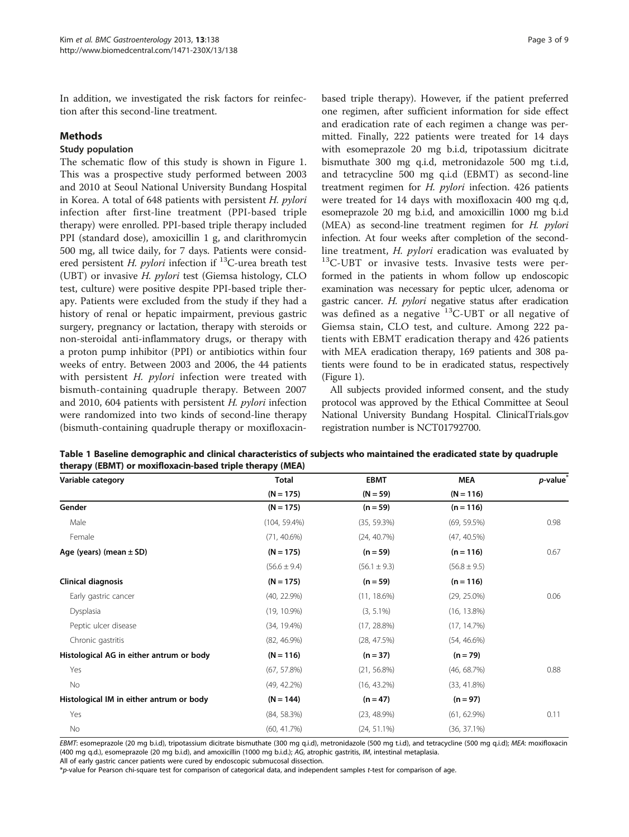<span id="page-2-0"></span>In addition, we investigated the risk factors for reinfection after this second-line treatment.

# Methods

# Study population

The schematic flow of this study is shown in Figure [1](#page-1-0). This was a prospective study performed between 2003 and 2010 at Seoul National University Bundang Hospital in Korea. A total of 648 patients with persistent H. pylori infection after first-line treatment (PPI-based triple therapy) were enrolled. PPI-based triple therapy included PPI (standard dose), amoxicillin 1 g, and clarithromycin 500 mg, all twice daily, for 7 days. Patients were considered persistent *H. pylori* infection if  $^{13}$ C-urea breath test (UBT) or invasive H. pylori test (Giemsa histology, CLO test, culture) were positive despite PPI-based triple therapy. Patients were excluded from the study if they had a history of renal or hepatic impairment, previous gastric surgery, pregnancy or lactation, therapy with steroids or non-steroidal anti-inflammatory drugs, or therapy with a proton pump inhibitor (PPI) or antibiotics within four weeks of entry. Between 2003 and 2006, the 44 patients with persistent H. *pylori* infection were treated with bismuth-containing quadruple therapy. Between 2007 and 2010, 604 patients with persistent H. pylori infection were randomized into two kinds of second-line therapy (bismuth-containing quadruple therapy or moxifloxacinbased triple therapy). However, if the patient preferred one regimen, after sufficient information for side effect and eradication rate of each regimen a change was permitted. Finally, 222 patients were treated for 14 days with esomeprazole 20 mg b.i.d, tripotassium dicitrate bismuthate 300 mg q.i.d, metronidazole 500 mg t.i.d, and tetracycline 500 mg q.i.d (EBMT) as second-line treatment regimen for H. pylori infection. 426 patients were treated for 14 days with moxifloxacin 400 mg q.d, esomeprazole 20 mg b.i.d, and amoxicillin 1000 mg b.i.d (MEA) as second-line treatment regimen for H. pylori infection. At four weeks after completion of the secondline treatment, *H. pylori* eradication was evaluated by  $^{13}$ C-UBT or invasive tests. Invasive tests were performed in the patients in whom follow up endoscopic examination was necessary for peptic ulcer, adenoma or gastric cancer. H. pylori negative status after eradication was defined as a negative  $^{13}$ C-UBT or all negative of Giemsa stain, CLO test, and culture. Among 222 patients with EBMT eradication therapy and 426 patients with MEA eradication therapy, 169 patients and 308 patients were found to be in eradicated status, respectively (Figure [1](#page-1-0)).

All subjects provided informed consent, and the study protocol was approved by the Ethical Committee at Seoul National University Bundang Hospital. ClinicalTrials.gov registration number is NCT01792700.

| Variable category                        | Total            | <b>EBMT</b>      | <b>MEA</b>       | $p$ -value $*$ |
|------------------------------------------|------------------|------------------|------------------|----------------|
|                                          | $(N = 175)$      | $(N = 59)$       | $(N = 116)$      |                |
| Gender                                   | $(N = 175)$      | $(n = 59)$       | $(n = 116)$      |                |
| Male                                     | $(104, 59.4\%)$  | (35, 59.3%)      | $(69, 59.5\%)$   | 0.98           |
| Female                                   | $(71, 40.6\%)$   | (24, 40.7%)      | (47, 40.5%)      |                |
| Age (years) (mean $\pm$ SD)              | $(N = 175)$      | $(n = 59)$       | $(n = 116)$      | 0.67           |
|                                          | $(56.6 \pm 9.4)$ | $(56.1 \pm 9.3)$ | $(56.8 \pm 9.5)$ |                |
| Clinical diagnosis                       | $(N = 175)$      | $(n = 59)$       | $(n = 116)$      |                |
| Early gastric cancer                     | (40, 22.9%)      | $(11, 18.6\%)$   | $(29, 25.0\%)$   | 0.06           |
| Dysplasia                                | $(19, 10.9\%)$   | $(3, 5.1\%)$     | $(16, 13.8\%)$   |                |
| Peptic ulcer disease                     | $(34, 19.4\%)$   | $(17, 28.8\%)$   | (17, 14.7%)      |                |
| Chronic gastritis                        | $(82, 46.9\%)$   | $(28, 47.5\%)$   | $(54, 46.6\%)$   |                |
| Histological AG in either antrum or body | $(N = 116)$      | $(n = 37)$       | $(n = 79)$       |                |
| Yes                                      | $(67, 57.8\%)$   | $(21, 56.8\%)$   | (46, 68.7%)      | 0.88           |
| No                                       | $(49, 42.2\%)$   | $(16, 43.2\%)$   | $(33, 41.8\%)$   |                |
| Histological IM in either antrum or body | $(N = 144)$      | $(n = 47)$       | $(n = 97)$       |                |
| Yes                                      | (84, 58.3%)      | (23, 48.9%)      | $(61, 62.9\%)$   | 0.11           |
| No                                       | (60, 41.7%)      | $(24, 51.1\%)$   | $(36, 37.1\%)$   |                |

Table 1 Baseline demographic and clinical characteristics of subjects who maintained the eradicated state by quadruple therapy (EBMT) or moxifloxacin-based triple therapy (MEA)

EBMT: esomeprazole (20 mg b.i.d), tripotassium dicitrate bismuthate (300 mg q.i.d), metronidazole (500 mg t.i.d), and tetracycline (500 mg q.i.d); MEA: moxifloxacin (400 mg q.d.), esomeprazole (20 mg b.i.d), and amoxicillin (1000 mg b.i.d.); AG, atrophic gastritis, IM, intestinal metaplasia. All of early gastric cancer patients were cured by endoscopic submucosal dissection.

\*p-value for Pearson chi-square test for comparison of categorical data, and independent samples t-test for comparison of age.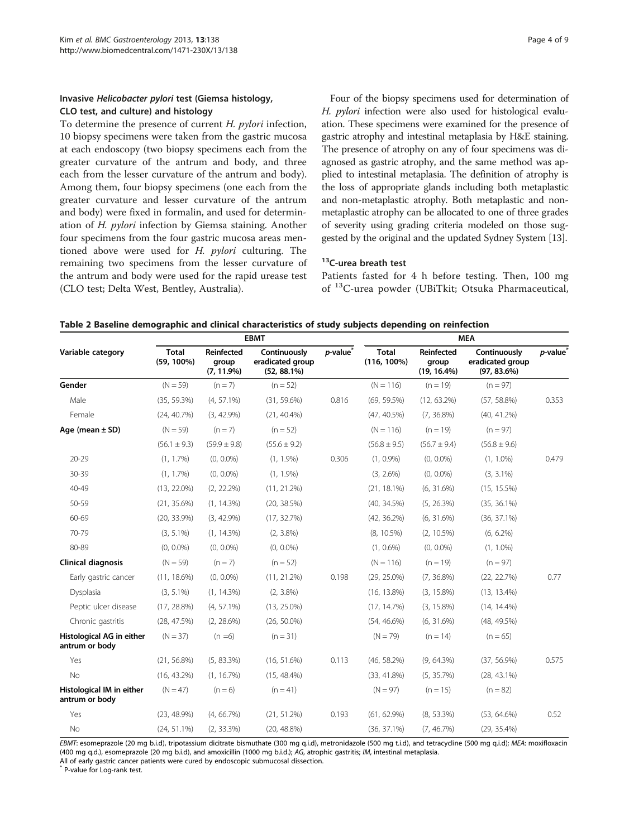# <span id="page-3-0"></span>Invasive Helicobacter pylori test (Giemsa histology, CLO test, and culture) and histology

To determine the presence of current H. pylori infection, 10 biopsy specimens were taken from the gastric mucosa at each endoscopy (two biopsy specimens each from the greater curvature of the antrum and body, and three each from the lesser curvature of the antrum and body). Among them, four biopsy specimens (one each from the greater curvature and lesser curvature of the antrum and body) were fixed in formalin, and used for determination of H. pylori infection by Giemsa staining. Another four specimens from the four gastric mucosa areas mentioned above were used for H. pylori culturing. The remaining two specimens from the lesser curvature of the antrum and body were used for the rapid urease test (CLO test; Delta West, Bentley, Australia).

Four of the biopsy specimens used for determination of H. pylori infection were also used for histological evaluation. These specimens were examined for the presence of gastric atrophy and intestinal metaplasia by H&E staining. The presence of atrophy on any of four specimens was diagnosed as gastric atrophy, and the same method was applied to intestinal metaplasia. The definition of atrophy is the loss of appropriate glands including both metaplastic and non-metaplastic atrophy. Both metaplastic and nonmetaplastic atrophy can be allocated to one of three grades of severity using grading criteria modeled on those suggested by the original and the updated Sydney System [[13](#page-7-0)].

### <sup>13</sup>C-urea breath test

Patients fasted for 4 h before testing. Then, 100 mg of 13C-urea powder (UBiTkit; Otsuka Pharmaceutical,

| Table 2 Baseline demographic and clinical characteristics of study subjects depending on reinfection |  |
|------------------------------------------------------------------------------------------------------|--|
|------------------------------------------------------------------------------------------------------|--|

|                                             | <b>EBMT</b>                   |                                      |                                                    |                      | <b>MEA</b>                     |                                       |                                                    |                      |
|---------------------------------------------|-------------------------------|--------------------------------------|----------------------------------------------------|----------------------|--------------------------------|---------------------------------------|----------------------------------------------------|----------------------|
| Variable category                           | <b>Total</b><br>$(59, 100\%)$ | Reinfected<br>group<br>$(7, 11.9\%)$ | Continuously<br>eradicated group<br>$(52, 88.1\%)$ | $p$ -value $\degree$ | <b>Total</b><br>$(116, 100\%)$ | Reinfected<br>group<br>$(19, 16.4\%)$ | Continuously<br>eradicated group<br>$(97, 83.6\%)$ | p-value <sup>*</sup> |
| Gender                                      | $(N = 59)$                    | $(n = 7)$                            | $(n = 52)$                                         |                      | $(N = 116)$                    | $(n = 19)$                            | $(n = 97)$                                         |                      |
| Male                                        | (35, 59.3%)                   | $(4, 57.1\%)$                        | $(31, 59.6\%)$                                     | 0.816                | $(69, 59.5\%)$                 | $(12, 63.2\%)$                        | $(57, 58.8\%)$                                     | 0.353                |
| Female                                      | (24, 40.7%)                   | $(3, 42.9\%)$                        | $(21, 40.4\%)$                                     |                      | $(47, 40.5\%)$                 | $(7, 36.8\%)$                         | $(40, 41.2\%)$                                     |                      |
| Age (mean $\pm$ SD)                         | $(N = 59)$                    | $(n = 7)$                            | $(n = 52)$                                         |                      | $(N = 116)$                    | $(n = 19)$                            | $(n = 97)$                                         |                      |
|                                             | $(56.1 \pm 9.3)$              | $(59.9 \pm 9.8)$                     | $(55.6 \pm 9.2)$                                   |                      | $(56.8 \pm 9.5)$               | $(56.7 \pm 9.4)$                      | $(56.8 \pm 9.6)$                                   |                      |
| $20 - 29$                                   | $(1, 1.7\%)$                  | $(0, 0.0\%)$                         | $(1, 1.9\%)$                                       | 0.306                | $(1, 0.9\%)$                   | $(0, 0.0\%)$                          | $(1, 1.0\%)$                                       | 0.479                |
| 30-39                                       | $(1, 1.7\%)$                  | $(0, 0.0\%)$                         | $(1, 1.9\%)$                                       |                      | $(3, 2.6\%)$                   | $(0, 0.0\%)$                          | $(3, 3.1\%)$                                       |                      |
| 40-49                                       | $(13, 22.0\%)$                | $(2, 22.2\%)$                        | $(11, 21.2\%)$                                     |                      | $(21, 18.1\%)$                 | $(6, 31.6\%)$                         | $(15, 15.5\%)$                                     |                      |
| 50-59                                       | $(21, 35.6\%)$                | (1, 14.3%)                           | (20, 38.5%)                                        |                      | $(40, 34.5\%)$                 | (5, 26.3%)                            | $(35, 36.1\%)$                                     |                      |
| 60-69                                       | $(20, 33.9\%)$                | $(3, 42.9\%)$                        | (17, 32.7%)                                        |                      | $(42, 36.2\%)$                 | $(6, 31.6\%)$                         | $(36, 37.1\%)$                                     |                      |
| 70-79                                       | $(3, 5.1\%)$                  | (1, 14.3%)                           | $(2, 3.8\%)$                                       |                      | $(8, 10.5\%)$                  | $(2, 10.5\%)$                         | $(6, 6.2\%)$                                       |                      |
| 80-89                                       | $(0, 0.0\%)$                  | $(0, 0.0\%)$                         | $(0, 0.0\%)$                                       |                      | $(1, 0.6\%)$                   | $(0, 0.0\%)$                          | $(1, 1.0\%)$                                       |                      |
| <b>Clinical diagnosis</b>                   | $(N = 59)$                    | $(n = 7)$                            | $(n = 52)$                                         |                      | $(N = 116)$                    | $(n = 19)$                            | $(n = 97)$                                         |                      |
| Early gastric cancer                        | $(11, 18.6\%)$                | $(0, 0.0\%)$                         | $(11, 21.2\%)$                                     | 0.198                | $(29, 25.0\%)$                 | $(7, 36.8\%)$                         | (22, 22.7%)                                        | 0.77                 |
| Dysplasia                                   | $(3, 5.1\%)$                  | $(1, 14.3\%)$                        | $(2, 3.8\%)$                                       |                      | $(16, 13.8\%)$                 | $(3, 15.8\%)$                         | $(13, 13.4\%)$                                     |                      |
| Peptic ulcer disease                        | $(17, 28.8\%)$                | $(4, 57.1\%)$                        | $(13, 25.0\%)$                                     |                      | (17, 14.7%)                    | $(3, 15.8\%)$                         | $(14, 14.4\%)$                                     |                      |
| Chronic gastritis                           | (28, 47.5%)                   | $(2, 28.6\%)$                        | $(26, 50.0\%)$                                     |                      | $(54, 46.6\%)$                 | $(6, 31.6\%)$                         | (48, 49.5%)                                        |                      |
| Histological AG in either<br>antrum or body | $(N = 37)$                    | $(n = 6)$                            | $(n = 31)$                                         |                      | $(N = 79)$                     | $(n = 14)$                            | $(n = 65)$                                         |                      |
| Yes                                         | $(21, 56.8\%)$                | $(5, 83.3\%)$                        | $(16, 51.6\%)$                                     | 0.113                | $(46, 58.2\%)$                 | $(9, 64.3\%)$                         | $(37, 56.9\%)$                                     | 0.575                |
| No                                          | $(16, 43.2\%)$                | (1, 16.7%)                           | $(15, 48.4\%)$                                     |                      | $(33, 41.8\%)$                 | (5, 35.7%)                            | $(28, 43.1\%)$                                     |                      |
| Histological IM in either<br>antrum or body | $(N = 47)$                    | $(n = 6)$                            | $(n = 41)$                                         |                      | $(N = 97)$                     | $(n = 15)$                            | $(n = 82)$                                         |                      |
| Yes                                         | $(23, 48.9\%)$                | $(4, 66.7\%)$                        | $(21, 51.2\%)$                                     | 0.193                | $(61, 62.9\%)$                 | $(8, 53.3\%)$                         | $(53, 64.6\%)$                                     | 0.52                 |
| No                                          | $(24, 51.1\%)$                | $(2, 33.3\%)$                        | $(20, 48.8\%)$                                     |                      | $(36, 37.1\%)$                 | (7, 46.7%)                            | $(29, 35.4\%)$                                     |                      |

EBMT: esomeprazole (20 mg b.i.d), tripotassium dicitrate bismuthate (300 mg q.i.d), metronidazole (500 mg t.i.d), and tetracycline (500 mg q.i.d); MEA: moxifloxacin (400 mg q.d.), esomeprazole (20 mg b.i.d), and amoxicillin (1000 mg b.i.d.); AG, atrophic gastritis; IM, intestinal metaplasia.

All of early gastric cancer patients were cured by endoscopic submucosal dissection.

\* P-value for Log-rank test.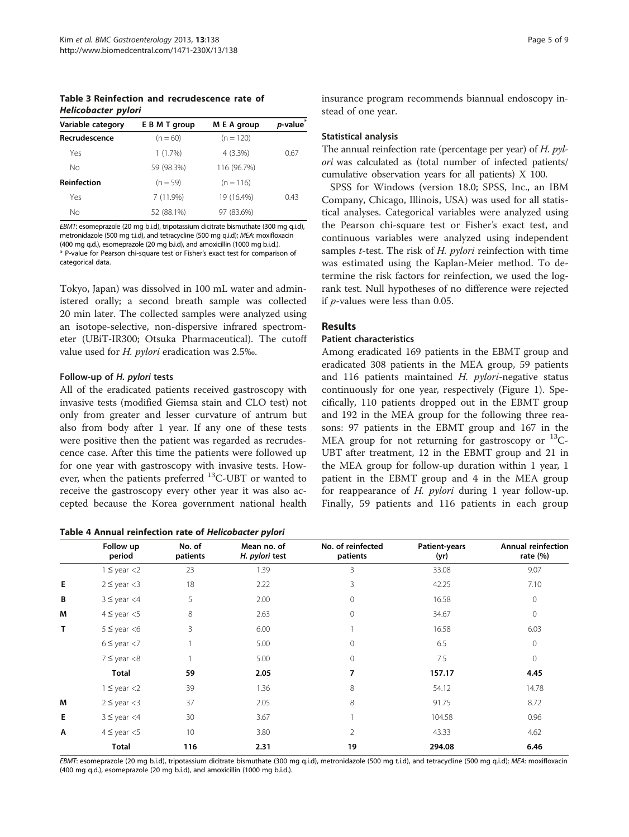<span id="page-4-0"></span>Table 3 Reinfection and recrudescence rate of Helicobacter pylori

| Variable category  | E B M T group | M E A group | <i>p</i> -value |
|--------------------|---------------|-------------|-----------------|
| Recrudescence      | $(n = 60)$    | $(n = 120)$ |                 |
| Yes                | 1(1.7%)       | $4(3.3\%)$  | 0.67            |
| Nο                 | 59 (98.3%)    | 116 (96.7%) |                 |
| <b>Reinfection</b> | $(n = 59)$    | $(n = 116)$ |                 |
| Yes                | $7(11.9\%)$   | 19 (16.4%)  | 0.43            |
| Nο                 | 52 (88.1%)    | 97 (83.6%)  |                 |

EBMT: esomeprazole (20 mg b.i.d), tripotassium dicitrate bismuthate (300 mg q.i.d), metronidazole (500 mg t.i.d), and tetracycline (500 mg q.i.d); MEA: moxifloxacin (400 mg q.d.), esomeprazole (20 mg b.i.d), and amoxicillin (1000 mg b.i.d.). \* P-value for Pearson chi-square test or Fisher's exact test for comparison of categorical data.

Tokyo, Japan) was dissolved in 100 mL water and administered orally; a second breath sample was collected 20 min later. The collected samples were analyzed using an isotope-selective, non-dispersive infrared spectrometer (UBiT-IR300; Otsuka Pharmaceutical). The cutoff value used for H. pylori eradication was 2.5‰.

# Follow-up of H. pylori tests

All of the eradicated patients received gastroscopy with invasive tests (modified Giemsa stain and CLO test) not only from greater and lesser curvature of antrum but also from body after 1 year. If any one of these tests were positive then the patient was regarded as recrudescence case. After this time the patients were followed up for one year with gastroscopy with invasive tests. However, when the patients preferred  $^{13}$ C-UBT or wanted to receive the gastroscopy every other year it was also accepted because the Korea government national health

Table 4 Annual reinfection rate of Helicobacter pylori

insurance program recommends biannual endoscopy instead of one year.

# Statistical analysis

The annual reinfection rate (percentage per year) of  $H$ .  $pyl$ ori was calculated as (total number of infected patients/ cumulative observation years for all patients) X 100.

SPSS for Windows (version 18.0; SPSS, Inc., an IBM Company, Chicago, Illinois, USA) was used for all statistical analyses. Categorical variables were analyzed using the Pearson chi-square test or Fisher's exact test, and continuous variables were analyzed using independent samples *t*-test. The risk of  $H$ , *pylori* reinfection with time was estimated using the Kaplan-Meier method. To determine the risk factors for reinfection, we used the logrank test. Null hypotheses of no difference were rejected if p-values were less than 0.05.

# Results

# Patient characteristics

Among eradicated 169 patients in the EBMT group and eradicated 308 patients in the MEA group, 59 patients and 116 patients maintained  $H.$  pylori-negative status continuously for one year, respectively (Figure [1\)](#page-1-0). Specifically, 110 patients dropped out in the EBMT group and 192 in the MEA group for the following three reasons: 97 patients in the EBMT group and 167 in the MEA group for not returning for gastroscopy or  $^{13}C$ -UBT after treatment, 12 in the EBMT group and 21 in the MEA group for follow-up duration within 1 year, 1 patient in the EBMT group and 4 in the MEA group for reappearance of  $H$ . *pylori* during 1 year follow-up. Finally, 59 patients and 116 patients in each group

|   |                     |                    | . .                           |                               |                       |                                   |
|---|---------------------|--------------------|-------------------------------|-------------------------------|-----------------------|-----------------------------------|
|   | Follow up<br>period | No. of<br>patients | Mean no. of<br>H. pylori test | No. of reinfected<br>patients | Patient-years<br>(yr) | Annual reinfection<br>rate $(\%)$ |
|   | $1 \leq$ year <2    | 23                 | 1.39                          | 3                             | 33.08                 | 9.07                              |
| E | $2 \le$ year <3     | 18                 | 2.22                          | 3                             | 42.25                 | 7.10                              |
| В | $3 \le$ year <4     | 5                  | 2.00                          | 0                             | 16.58                 | 0                                 |
| M | $4 \leq$ year $<$ 5 | 8                  | 2.63                          | $\Omega$                      | 34.67                 | 0                                 |
| T | $5 \le$ year <6     | 3                  | 6.00                          |                               | 16.58                 | 6.03                              |
|   | $6 \le$ year $<$ 7  |                    | 5.00                          | $\Omega$                      | 6.5                   | $\mathbf 0$                       |
|   | $7 \le$ year $< 8$  |                    | 5.00                          | $\Omega$                      | 7.5                   | $\mathbf{0}$                      |
|   | <b>Total</b>        | 59                 | 2.05                          | 7                             | 157.17                | 4.45                              |
|   | $1 \le$ year <2     | 39                 | 1.36                          | 8                             | 54.12                 | 14.78                             |
| M | $2 \le$ year <3     | 37                 | 2.05                          | 8                             | 91.75                 | 8.72                              |
| E | $3 \le$ year <4     | 30                 | 3.67                          |                               | 104.58                | 0.96                              |
| Α | $4 \leq$ year $<$ 5 | 10                 | 3.80                          | 2                             | 43.33                 | 4.62                              |
|   | <b>Total</b>        | 116                | 2.31                          | 19                            | 294.08                | 6.46                              |

EBMT: esomeprazole (20 mg b.i.d), tripotassium dicitrate bismuthate (300 mg q.i.d), metronidazole (500 mg t.i.d), and tetracycline (500 mg q.i.d); MEA: moxifloxacin (400 mg q.d.), esomeprazole (20 mg b.i.d), and amoxicillin (1000 mg b.i.d.).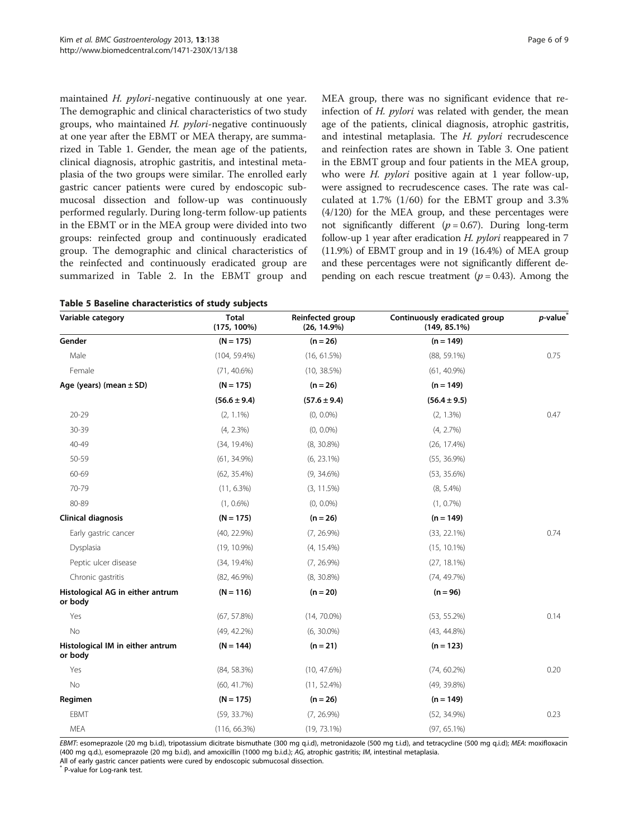<span id="page-5-0"></span>maintained H. pylori-negative continuously at one year. The demographic and clinical characteristics of two study groups, who maintained  $H.$   $pylori$ -negative continuously at one year after the EBMT or MEA therapy, are summarized in Table [1](#page-2-0). Gender, the mean age of the patients, clinical diagnosis, atrophic gastritis, and intestinal metaplasia of the two groups were similar. The enrolled early gastric cancer patients were cured by endoscopic submucosal dissection and follow-up was continuously performed regularly. During long-term follow-up patients in the EBMT or in the MEA group were divided into two groups: reinfected group and continuously eradicated group. The demographic and clinical characteristics of the reinfected and continuously eradicated group are summarized in Table [2.](#page-3-0) In the EBMT group and

|  |  | Table 5 Baseline characteristics of study subjects |  |  |
|--|--|----------------------------------------------------|--|--|
|--|--|----------------------------------------------------|--|--|

MEA group, there was no significant evidence that reinfection of H. pylori was related with gender, the mean age of the patients, clinical diagnosis, atrophic gastritis, and intestinal metaplasia. The H. pylori recrudescence and reinfection rates are shown in Table [3](#page-4-0). One patient in the EBMT group and four patients in the MEA group, who were *H. pylori* positive again at 1 year follow-up, were assigned to recrudescence cases. The rate was calculated at 1.7% (1/60) for the EBMT group and 3.3% (4/120) for the MEA group, and these percentages were not significantly different ( $p = 0.67$ ). During long-term follow-up 1 year after eradication  $H$ . *pylori* reappeared in 7 (11.9%) of EBMT group and in 19 (16.4%) of MEA group and these percentages were not significantly different depending on each rescue treatment ( $p = 0.43$ ). Among the

| Variable category                           | <b>Total</b><br>$(175, 100\%)$ | Reinfected group<br>$(26, 14.9\%)$ | Continuously eradicated group<br>$(149, 85.1\%)$ | <i>p</i> -value |
|---------------------------------------------|--------------------------------|------------------------------------|--------------------------------------------------|-----------------|
| Gender                                      | $(N = 175)$                    | $(n = 26)$                         | $(n = 149)$                                      |                 |
| Male                                        | $(104, 59.4\%)$                | (16, 61.5%)                        | $(88, 59.1\%)$                                   | 0.75            |
| Female                                      | $(71, 40.6\%)$                 | $(10, 38.5\%)$                     | $(61, 40.9\%)$                                   |                 |
| Age (years) (mean $\pm$ SD)                 | $(N = 175)$                    | $(n = 26)$                         | $(n = 149)$                                      |                 |
|                                             | $(56.6 \pm 9.4)$               | $(57.6 \pm 9.4)$                   | $(56.4 \pm 9.5)$                                 |                 |
| $20 - 29$                                   | $(2, 1.1\%)$                   | $(0, 0.0\%)$                       | $(2, 1.3\%)$                                     | 0.47            |
| 30-39                                       | $(4, 2.3\%)$                   | $(0, 0.0\%)$                       | (4, 2.7%)                                        |                 |
| 40-49                                       | $(34, 19.4\%)$                 | $(8, 30.8\%)$                      | $(26, 17.4\%)$                                   |                 |
| 50-59                                       | $(61, 34.9\%)$                 | $(6, 23.1\%)$                      | $(55, 36.9\%)$                                   |                 |
| 60-69                                       | $(62, 35.4\%)$                 | $(9, 34.6\%)$                      | $(53, 35.6\%)$                                   |                 |
| 70-79                                       | $(11, 6.3\%)$                  | (3, 11.5%)                         | $(8, 5.4\%)$                                     |                 |
| 80-89                                       | $(1, 0.6\%)$                   | $(0, 0.0\%)$                       | $(1, 0.7\%)$                                     |                 |
| Clinical diagnosis                          | $(N = 175)$                    | $(n = 26)$                         | $(n = 149)$                                      |                 |
| Early gastric cancer                        | $(40, 22.9\%)$                 | $(7, 26.9\%)$                      | $(33, 22.1\%)$                                   | 0.74            |
| Dysplasia                                   | $(19, 10.9\%)$                 | $(4, 15.4\%)$                      | $(15, 10.1\%)$                                   |                 |
| Peptic ulcer disease                        | $(34, 19.4\%)$                 | $(7, 26.9\%)$                      | $(27, 18.1\%)$                                   |                 |
| Chronic gastritis                           | $(82, 46.9\%)$                 | $(8, 30.8\%)$                      | (74, 49.7%)                                      |                 |
| Histological AG in either antrum<br>or body | $(N = 116)$                    | $(n = 20)$                         | $(n = 96)$                                       |                 |
| Yes                                         | (67, 57.8%)                    | $(14, 70.0\%)$                     | $(53, 55.2\%)$                                   | 0.14            |
| No                                          | $(49, 42.2\%)$                 | $(6, 30.0\%)$                      | $(43, 44.8\%)$                                   |                 |
| Histological IM in either antrum<br>or body | $(N = 144)$                    | $(n = 21)$                         | $(n = 123)$                                      |                 |
| Yes                                         | $(84, 58.3\%)$                 | (10, 47.6%)                        | $(74, 60.2\%)$                                   | 0.20            |
| No                                          | (60, 41.7%)                    | $(11, 52.4\%)$                     | $(49, 39.8\%)$                                   |                 |
| Regimen                                     | $(N = 175)$                    | $(n = 26)$                         | $(n = 149)$                                      |                 |
| EBMT                                        | (59, 33.7%)                    | $(7, 26.9\%)$                      | $(52, 34.9\%)$                                   | 0.23            |
| MEA                                         | (116, 66.3%)                   | $(19, 73.1\%)$                     | $(97, 65.1\%)$                                   |                 |

EBMT: esomeprazole (20 mg b.i.d), tripotassium dicitrate bismuthate (300 mg q.i.d), metronidazole (500 mg t.i.d), and tetracycline (500 mg q.i.d); MEA: moxifloxacin (400 mg q.d.), esomeprazole (20 mg b.i.d), and amoxicillin (1000 mg b.i.d.); AG, atrophic gastritis; IM, intestinal metaplasia.

All of early gastric cancer patients were cured by endoscopic submucosal dissection.

\* P-value for Log-rank test.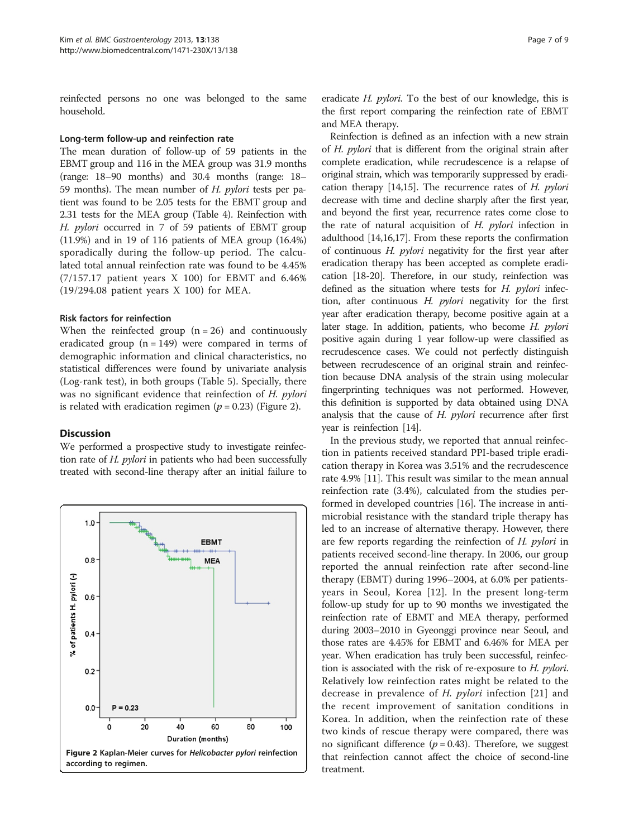reinfected persons no one was belonged to the same household.

#### Long-term follow-up and reinfection rate

The mean duration of follow-up of 59 patients in the EBMT group and 116 in the MEA group was 31.9 months (range: 18–90 months) and 30.4 months (range: 18– 59 months). The mean number of H. pylori tests per patient was found to be 2.05 tests for the EBMT group and 2.31 tests for the MEA group (Table [4](#page-4-0)). Reinfection with H. pylori occurred in 7 of 59 patients of EBMT group (11.9%) and in 19 of 116 patients of MEA group (16.4%) sporadically during the follow-up period. The calculated total annual reinfection rate was found to be 4.45% (7/157.17 patient years X 100) for EBMT and 6.46% (19/294.08 patient years X 100) for MEA.

#### Risk factors for reinfection

When the reinfected group  $(n = 26)$  and continuously eradicated group  $(n = 149)$  were compared in terms of demographic information and clinical characteristics, no statistical differences were found by univariate analysis (Log-rank test), in both groups (Table [5](#page-5-0)). Specially, there was no significant evidence that reinfection of H. pylori is related with eradication regimen ( $p = 0.23$ ) (Figure 2).

# **Discussion**

We performed a prospective study to investigate reinfection rate of H. pylori in patients who had been successfully treated with second-line therapy after an initial failure to



eradicate *H. pylori*. To the best of our knowledge, this is the first report comparing the reinfection rate of EBMT and MEA therapy.

Reinfection is defined as an infection with a new strain of H. pylori that is different from the original strain after complete eradication, while recrudescence is a relapse of original strain, which was temporarily suppressed by eradication therapy  $[14,15]$  $[14,15]$ . The recurrence rates of H. *pylori* decrease with time and decline sharply after the first year, and beyond the first year, recurrence rates come close to the rate of natural acquisition of  $H$ . *pylori* infection in adulthood [\[14,16,17\]](#page-8-0). From these reports the confirmation of continuous H. pylori negativity for the first year after eradication therapy has been accepted as complete eradication [\[18-20\]](#page-8-0). Therefore, in our study, reinfection was defined as the situation where tests for H. pylori infection, after continuous H. pylori negativity for the first year after eradication therapy, become positive again at a later stage. In addition, patients, who become H. pylori positive again during 1 year follow-up were classified as recrudescence cases. We could not perfectly distinguish between recrudescence of an original strain and reinfection because DNA analysis of the strain using molecular fingerprinting techniques was not performed. However, this definition is supported by data obtained using DNA analysis that the cause of H. pylori recurrence after first year is reinfection [\[14\]](#page-8-0).

In the previous study, we reported that annual reinfection in patients received standard PPI-based triple eradication therapy in Korea was 3.51% and the recrudescence rate 4.9% [[11](#page-7-0)]. This result was similar to the mean annual reinfection rate (3.4%), calculated from the studies performed in developed countries [[16](#page-8-0)]. The increase in antimicrobial resistance with the standard triple therapy has led to an increase of alternative therapy. However, there are few reports regarding the reinfection of H. pylori in patients received second-line therapy. In 2006, our group reported the annual reinfection rate after second-line therapy (EBMT) during 1996–2004, at 6.0% per patientsyears in Seoul, Korea [[12\]](#page-7-0). In the present long-term follow-up study for up to 90 months we investigated the reinfection rate of EBMT and MEA therapy, performed during 2003–2010 in Gyeonggi province near Seoul, and those rates are 4.45% for EBMT and 6.46% for MEA per year. When eradication has truly been successful, reinfection is associated with the risk of re-exposure to H. pylori. Relatively low reinfection rates might be related to the decrease in prevalence of H. pylori infection [[21\]](#page-8-0) and the recent improvement of sanitation conditions in Korea. In addition, when the reinfection rate of these two kinds of rescue therapy were compared, there was no significant difference ( $p = 0.43$ ). Therefore, we suggest that reinfection cannot affect the choice of second-line treatment.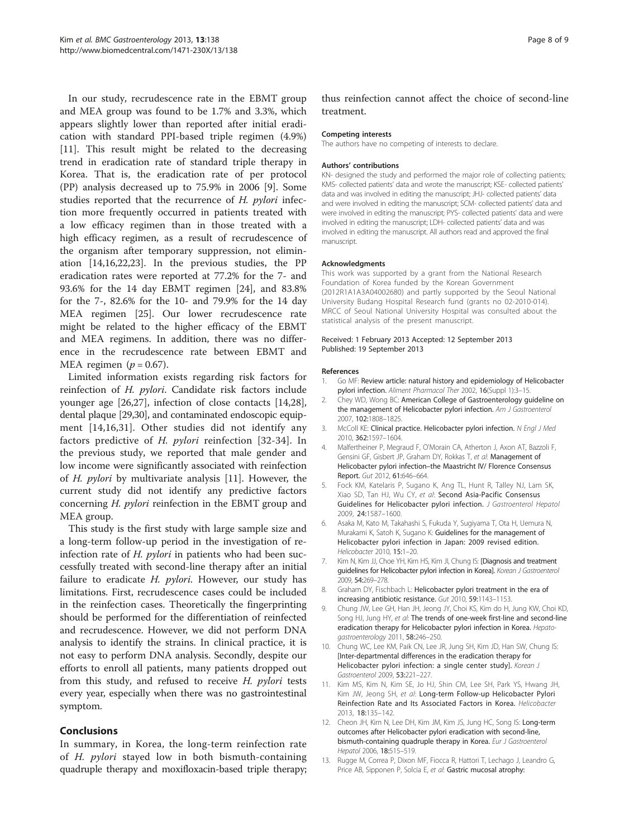<span id="page-7-0"></span>In our study, recrudescence rate in the EBMT group and MEA group was found to be 1.7% and 3.3%, which appears slightly lower than reported after initial eradication with standard PPI-based triple regimen (4.9%) [11]. This result might be related to the decreasing trend in eradication rate of standard triple therapy in Korea. That is, the eradication rate of per protocol (PP) analysis decreased up to 75.9% in 2006 [9]. Some studies reported that the recurrence of H. pylori infection more frequently occurred in patients treated with a low efficacy regimen than in those treated with a high efficacy regimen, as a result of recrudescence of the organism after temporary suppression, not elimination [\[14,16,22,23](#page-8-0)]. In the previous studies, the PP eradication rates were reported at 77.2% for the 7- and 93.6% for the 14 day EBMT regimen [[24\]](#page-8-0), and 83.8% for the 7-, 82.6% for the 10- and 79.9% for the 14 day MEA regimen [[25\]](#page-8-0). Our lower recrudescence rate might be related to the higher efficacy of the EBMT and MEA regimens. In addition, there was no difference in the recrudescence rate between EBMT and MEA regimen ( $p = 0.67$ ).

Limited information exists regarding risk factors for reinfection of H. pylori. Candidate risk factors include younger age [[26,27](#page-8-0)], infection of close contacts [\[14,28](#page-8-0)], dental plaque [[29,30\]](#page-8-0), and contaminated endoscopic equipment [\[14,16,31](#page-8-0)]. Other studies did not identify any factors predictive of H. pylori reinfection [[32](#page-8-0)-[34](#page-8-0)]. In the previous study, we reported that male gender and low income were significantly associated with reinfection of H. pylori by multivariate analysis [11]. However, the current study did not identify any predictive factors concerning H. pylori reinfection in the EBMT group and MEA group.

This study is the first study with large sample size and a long-term follow-up period in the investigation of reinfection rate of H. *pylori* in patients who had been successfully treated with second-line therapy after an initial failure to eradicate H. pylori. However, our study has limitations. First, recrudescence cases could be included in the reinfection cases. Theoretically the fingerprinting should be performed for the differentiation of reinfected and recrudescence. However, we did not perform DNA analysis to identify the strains. In clinical practice, it is not easy to perform DNA analysis. Secondly, despite our efforts to enroll all patients, many patients dropped out from this study, and refused to receive H. pylori tests every year, especially when there was no gastrointestinal symptom.

# Conclusions

In summary, in Korea, the long-term reinfection rate of H. *pylori* stayed low in both bismuth-containing quadruple therapy and moxifloxacin-based triple therapy; thus reinfection cannot affect the choice of second-line treatment.

#### Competing interests

The authors have no competing of interests to declare.

#### Authors' contributions

KN- designed the study and performed the major role of collecting patients; KMS- collected patients' data and wrote the manuscript; KSE- collected patients' data and was involved in editing the manuscript; JHJ- collected patients' data and were involved in editing the manuscript; SCM- collected patients' data and were involved in editing the manuscript; PYS- collected patients' data and were involved in editing the manuscript; LDH- collected patients' data and was involved in editing the manuscript. All authors read and approved the final manuscript.

#### Acknowledgments

This work was supported by a grant from the National Research Foundation of Korea funded by the Korean Government (2012R1A1A3A04002680) and partly supported by the Seoul National University Budang Hospital Research fund (grants no 02-2010-014). MRCC of Seoul National University Hospital was consulted about the statistical analysis of the present manuscript.

#### Received: 1 February 2013 Accepted: 12 September 2013 Published: 19 September 2013

#### References

- 1. Go MF: Review article: natural history and epidemiology of Helicobacter pylori infection. Aliment Pharmacol Ther 2002, 16(Suppl 1):3–15.
- 2. Chey WD, Wong BC: American College of Gastroenterology guideline on the management of Helicobacter pylori infection. Am J Gastroenterol 2007, 102:1808–1825.
- 3. McColl KE: Clinical practice. Helicobacter pylori infection. N Engl J Med 2010, 362:1597–1604.
- 4. Malfertheiner P, Megraud F, O'Morain CA, Atherton J, Axon AT, Bazzoli F, Gensini GF, Gisbert JP, Graham DY, Rokkas T, et al: Management of Helicobacter pylori infection–the Maastricht IV/ Florence Consensus Report. Gut 2012, 61:646–664.
- 5. Fock KM, Katelaris P, Sugano K, Ang TL, Hunt R, Talley NJ, Lam SK, Xiao SD, Tan HJ, Wu CY, et al: Second Asia-Pacific Consensus Guidelines for Helicobacter pylori infection. J Gastroenterol Hepatol 2009, 24:1587–1600.
- 6. Asaka M, Kato M, Takahashi S, Fukuda Y, Sugiyama T, Ota H, Uemura N, Murakami K, Satoh K, Sugano K: Guidelines for the management of Helicobacter pylori infection in Japan: 2009 revised edition. Helicobacter 2010, 15:1–20.
- 7. Kim N, Kim JJ, Choe YH, Kim HS, Kim JI, Chung IS: [Diagnosis and treatment guidelines for Helicobacter pylori infection in Korea]. Korean J Gastroenterol 2009, 54:269–278.
- 8. Graham DY, Fischbach L: Helicobacter pylori treatment in the era of increasing antibiotic resistance. Gut 2010, 59:1143–1153.
- 9. Chung JW, Lee GH, Han JH, Jeong JY, Choi KS, Kim do H, Jung KW, Choi KD, Song HJ, Jung HY, et al: The trends of one-week first-line and second-line eradication therapy for Helicobacter pylori infection in Korea. Hepatogastroenterology 2011, 58:246–250.
- 10. Chung WC, Lee KM, Paik CN, Lee JR, Jung SH, Kim JD, Han SW, Chung IS: [Inter-departmental differences in the eradication therapy for Helicobacter pylori infection: a single center study]. Korean J Gastroenterol 2009, 53:221–227.
- 11. Kim MS, Kim N, Kim SE, Jo HJ, Shin CM, Lee SH, Park YS, Hwang JH, Kim JW, Jeong SH, et al: Long-term Follow-up Helicobacter Pylori Reinfection Rate and Its Associated Factors in Korea. Helicobacter 2013, 18:135–142.
- 12. Cheon JH, Kim N, Lee DH, Kim JM, Kim JS, Jung HC, Song IS: Long-term outcomes after Helicobacter pylori eradication with second-line, bismuth-containing quadruple therapy in Korea. Eur J Gastroenterol Hepatol 2006, 18:515–519.
- 13. Rugge M, Correa P, Dixon MF, Fiocca R, Hattori T, Lechago J, Leandro G, Price AB, Sipponen P, Solcia E, et al: Gastric mucosal atrophy: